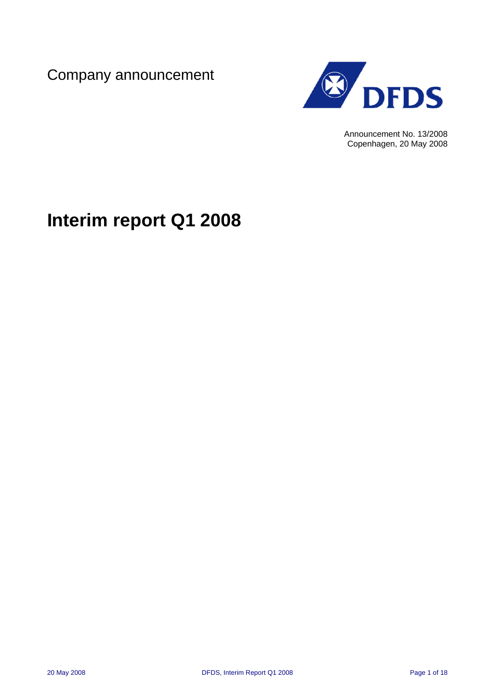Company announcement



Announcement No. 13/2008 Copenhagen, 20 May 2008

# **Interim report Q1 2008**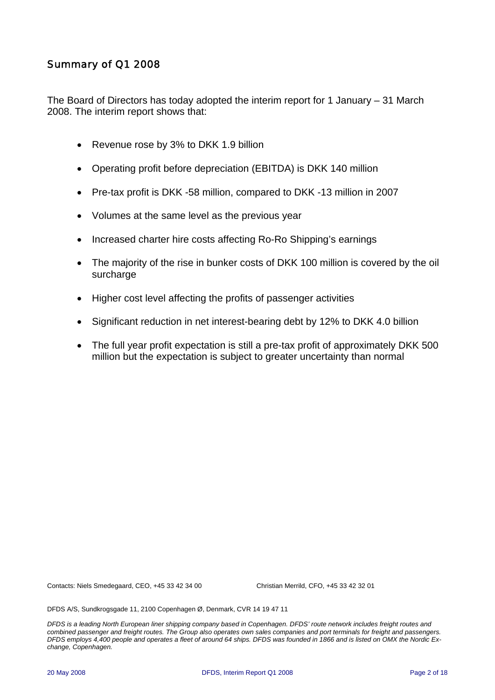### Summary of Q1 2008

The Board of Directors has today adopted the interim report for 1 January – 31 March 2008. The interim report shows that:

- Revenue rose by 3% to DKK 1.9 billion
- Operating profit before depreciation (EBITDA) is DKK 140 million
- Pre-tax profit is DKK -58 million, compared to DKK -13 million in 2007
- Volumes at the same level as the previous year
- Increased charter hire costs affecting Ro-Ro Shipping's earnings
- The majority of the rise in bunker costs of DKK 100 million is covered by the oil surcharge
- Higher cost level affecting the profits of passenger activities
- Significant reduction in net interest-bearing debt by 12% to DKK 4.0 billion
- The full year profit expectation is still a pre-tax profit of approximately DKK 500 million but the expectation is subject to greater uncertainty than normal

Contacts: Niels Smedegaard, CEO, +45 33 42 34 00 Christian Merrild, CFO, +45 33 42 32 01

DFDS A/S, Sundkrogsgade 11, 2100 Copenhagen Ø, Denmark, CVR 14 19 47 11

*DFDS is a leading North European liner shipping company based in Copenhagen. DFDS' route network includes freight routes and combined passenger and freight routes. The Group also operates own sales companies and port terminals for freight and passengers. DFDS employs 4,400 people and operates a fleet of around 64 ships. DFDS was founded in 1866 and is listed on OMX the Nordic Exchange, Copenhagen.*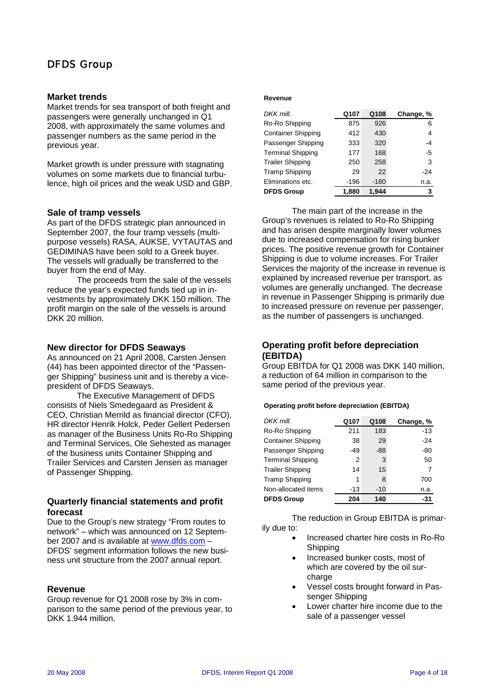### DFDS Group

#### **Market trends**

Market trends for sea transport of both freight and passengers were generally unchanged in Q1 2008, with approximately the same volumes and passenger numbers as the same period in the previous year.

Market growth is under pressure with stagnating volumes on some markets due to financial turbulence, high oil prices and the weak USD and GBP.

#### **Sale of tramp vessels**

As part of the DFDS strategic plan announced in September 2007, the four tramp vessels (multipurpose vessels) RASA, AUKSE, VYTAUTAS and GEDIMINAS have been sold to a Greek buyer. The vessels will gradually be transferred to the buyer from the end of May.

The proceeds from the sale of the vessels reduce the year's expected funds tied up in investments by approximately DKK 150 million. The profit margin on the sale of the vessels is around DKK 20 million.

#### **New director for DFDS Seaways**

As announced on 21 April 2008, Carsten Jensen (44) has been appointed director of the "Passenger Shipping" business unit and is thereby a vicepresident of DFDS Seaways.

The Executive Management of DFDS consists of Niels Smedegaard as President & CEO, Christian Merrild as financial director (CFO), HR director Henrik Holck, Peder Gellert Pedersen as manager of the Business Units Ro-Ro Shipping and Terminal Services, Ole Sehested as manager of the business units Container Shipping and Trailer Services and Carsten Jensen as manager of Passenger Shipping.

#### **Quarterly financial statements and profit forecast**

Due to the Group's new strategy "From routes to network" – which was announced on 12 September 2007 and is available at [www.dfds.com](http://www.dfds.com/) – DFDS' segment information follows the new business unit structure from the 2007 annual report.

#### **Revenue**

Group revenue for Q1 2008 rose by 3% in comparison to the same period of the previous year, to DKK 1.944 million.

#### **Revenue**

| DKK mill.                 | Q107  | Q108   | Change, % |
|---------------------------|-------|--------|-----------|
| Ro-Ro Shipping            | 875   | 926    | 6         |
| <b>Container Shipping</b> | 412   | 430    | 4         |
| Passenger Shipping        | 333   | 320    | $-4$      |
| <b>Terminal Shipping</b>  | 177   | 168    | $-5$      |
| <b>Trailer Shipping</b>   | 250   | 258    | 3         |
| <b>Tramp Shipping</b>     | 29    | 22     | -24       |
| Eliminations etc.         | -196  | $-180$ | n.a.      |
| <b>DFDS Group</b>         | 1.880 | 1,944  | 3         |

The main part of the increase in the Group's revenues is related to Ro-Ro Shipping and has arisen despite marginally lower volumes due to increased compensation for rising bunker prices. The positive revenue growth for Container Shipping is due to volume increases. For Trailer Services the majority of the increase in revenue is explained by increased revenue per transport, as volumes are generally unchanged. The decrease in revenue in Passenger Shipping is primarily due to increased pressure on revenue per passenger, as the number of passengers is unchanged.

#### **Operating profit before depreciation (EBITDA)**

Group EBITDA for Q1 2008 was DKK 140 million, a reduction of 64 million in comparison to the same period of the previous year.

#### **Operating profit before depreciation (EBITDA)**

| DKK mill.                 | Q107 | Q108  | Change, % |
|---------------------------|------|-------|-----------|
| Ro-Ro Shipping            | 211  | 183   | $-13$     |
| <b>Container Shipping</b> | 38   | 29    | $-24$     |
| Passenger Shipping        | -49  | $-88$ | $-80$     |
| <b>Terminal Shipping</b>  | 2    | 3     | 50        |
| <b>Trailer Shipping</b>   | 14   | 15    | 7         |
| <b>Tramp Shipping</b>     | 1    | 8     | 700       |
| Non-allocated items       | -13  | $-10$ | n.a.      |
| <b>DFDS Group</b>         | 204  | 140   | $-31$     |

The reduction in Group EBITDA is primarily due to:

- Increased charter hire costs in Ro-Ro Shipping
- Increased bunker costs, most of which are covered by the oil surcharge
- Vessel costs brought forward in Passenger Shipping
- Lower charter hire income due to the sale of a passenger vessel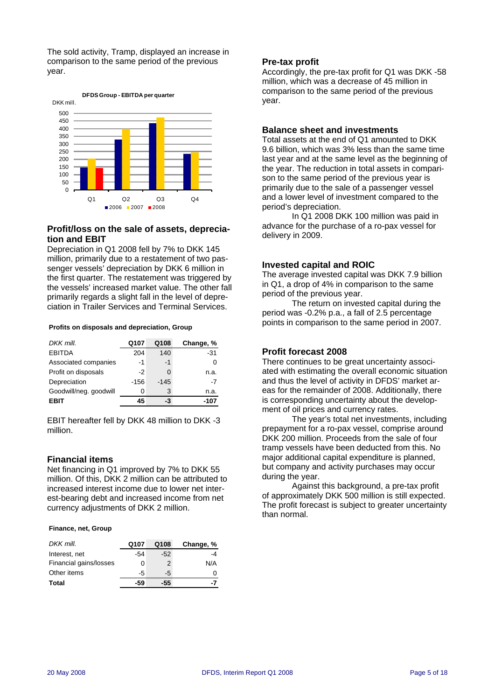The sold activity, Tramp, displayed an increase in comparison to the same period of the previous year.



#### **Profit/loss on the sale of assets, deprecia-**<br>delivery in 2009. **tion and EBIT**

Depreciation in Q1 2008 fell by 7% to DKK 145 million, primarily due to a restatement of two passenger vessels' depreciation by DKK 6 million in the first quarter. The restatement was triggered by the vessels' increased market value. The other fall primarily regards a slight fall in the level of depreciation in Trailer Services and Terminal Services.

| DKK mill.              | Q107   | Q108   | Change, % |
|------------------------|--------|--------|-----------|
| <b>EBITDA</b>          | 204    | 140    | -31       |
| Associated companies   | -1     | -1     |           |
| Profit on disposals    | -2     |        | n.a.      |
| Depreciation           | $-156$ | $-145$ | -7        |
| Goodwill/neg. goodwill | Ω      | 3      | n.a.      |
| EBIT                   | 45     | -3     |           |

EBIT hereafter fell by DKK 48 million to DKK -3 million.

#### **Financial items**

Net financing in Q1 improved by 7% to DKK 55 million. Of this, DKK 2 million can be attributed to increased interest income due to lower net interest-bearing debt and increased income from net currency adjustments of DKK 2 million.

#### **Finance, net, Group**

| DKK mill.              | Q107 | Q108  | Change, % |
|------------------------|------|-------|-----------|
| Interest, net          | -54  | $-52$ |           |
| Financial gains/losses | n    |       | N/A       |
| Other items            | -5   | -5    |           |
| Total                  | -59  | -55   |           |

#### **Pre-tax profit**

Accordingly, the pre-tax profit for Q1 was DKK -58 million, which was a decrease of 45 million in comparison to the same period of the previous year.

#### **Balance sheet and investments**

Total assets at the end of Q1 amounted to DKK 9.6 billion, which was 3% less than the same time last year and at the same level as the beginning of the year. The reduction in total assets in comparison to the same period of the previous year is primarily due to the sale of a passenger vessel and a lower level of investment compared to the period's depreciation.

In Q1 2008 DKK 100 million was paid in advance for the purchase of a ro-pax vessel for

#### **Invested capital and ROIC**

The average invested capital was DKK 7.9 billion in Q1, a drop of 4% in comparison to the same period of the previous year.

The return on invested capital during the period was -0.2% p.a., a fall of 2.5 percentage points in comparison to the same period in 2007. **Profits on disposals and depreciation, Group**

#### **Profit forecast 2008**

There continues to be great uncertainty associated with estimating the overall economic situation and thus the level of activity in DFDS' market areas for the remainder of 2008. Additionally, there is corresponding uncertainty about the development of oil prices and currency rates.

The year's total net investments, including prepayment for a ro-pax vessel, comprise around DKK 200 million. Proceeds from the sale of four tramp vessels have been deducted from this. No major additional capital expenditure is planned, but company and activity purchases may occur during the year.

Against this background, a pre-tax profit of approximately DKK 500 million is still expected. The profit forecast is subject to greater uncertainty than normal.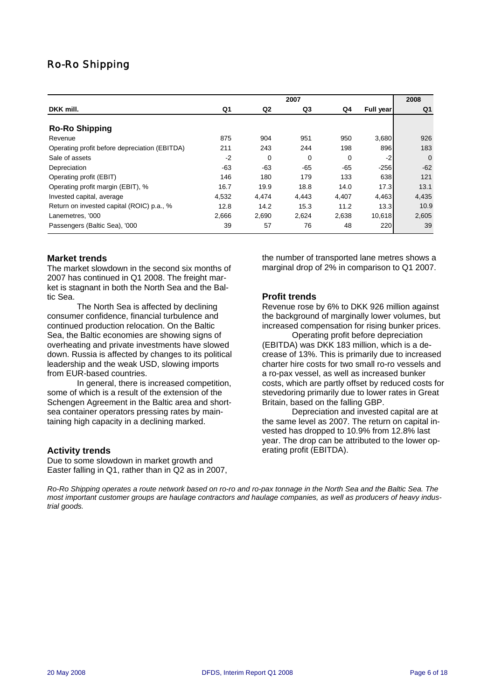### Ro-Ro Shipping

|                                               |       |                | 2007  |       |           | 2008     |
|-----------------------------------------------|-------|----------------|-------|-------|-----------|----------|
| DKK mill.                                     | Q1    | Q <sub>2</sub> | Q3    | Q4    | Full year | Q1       |
| <b>Ro-Ro Shipping</b>                         |       |                |       |       |           |          |
| Revenue                                       | 875   | 904            | 951   | 950   | 3,680     | 926      |
| Operating profit before depreciation (EBITDA) | 211   | 243            | 244   | 198   | 896       | 183      |
| Sale of assets                                | $-2$  | $\Omega$       | 0     | 0     | $-2$      | $\Omega$ |
| Depreciation                                  | $-63$ | $-63$          | $-65$ | $-65$ | $-256$    | $-62$    |
| Operating profit (EBIT)                       | 146   | 180            | 179   | 133   | 638       | 121      |
| Operating profit margin (EBIT), %             | 16.7  | 19.9           | 18.8  | 14.0  | 17.3      | 13.1     |
| Invested capital, average                     | 4,532 | 4,474          | 4,443 | 4,407 | 4,463     | 4,435    |
| Return on invested capital (ROIC) p.a., %     | 12.8  | 14.2           | 15.3  | 11.2  | 13.3      | 10.9     |
| Lanemetres. '000                              | 2,666 | 2,690          | 2,624 | 2,638 | 10,618    | 2,605    |
| Passengers (Baltic Sea), '000                 | 39    | 57             | 76    | 48    | 220       | 39       |

#### **Market trends**

The market slowdown in the second six months of 2007 has continued in Q1 2008. The freight market is stagnant in both the North Sea and the Baltic Sea.

The North Sea is affected by declining consumer confidence, financial turbulence and continued production relocation. On the Baltic Sea, the Baltic economies are showing signs of overheating and private investments have slowed down. Russia is affected by changes to its political leadership and the weak USD, slowing imports from EUR-based countries.

In general, there is increased competition, some of which is a result of the extension of the Schengen Agreement in the Baltic area and shortsea container operators pressing rates by maintaining high capacity in a declining marked.

#### **Activity trends**

Due to some slowdown in market growth and Easter falling in Q1, rather than in Q2 as in 2007, the number of transported lane metres shows a marginal drop of 2% in comparison to Q1 2007.

#### **Profit trends**

Revenue rose by 6% to DKK 926 million against the background of marginally lower volumes, but increased compensation for rising bunker prices.

Operating profit before depreciation (EBITDA) was DKK 183 million, which is a decrease of 13%. This is primarily due to increased charter hire costs for two small ro-ro vessels and a ro-pax vessel, as well as increased bunker costs, which are partly offset by reduced costs for stevedoring primarily due to lower rates in Great Britain, based on the falling GBP.

Depreciation and invested capital are at the same level as 2007. The return on capital invested has dropped to 10.9% from 12.8% last year. The drop can be attributed to the lower operating profit (EBITDA).

*Ro-Ro Shipping operates a route network based on ro-ro and ro-pax tonnage in the North Sea and the Baltic Sea. The most important customer groups are haulage contractors and haulage companies, as well as producers of heavy industrial goods.*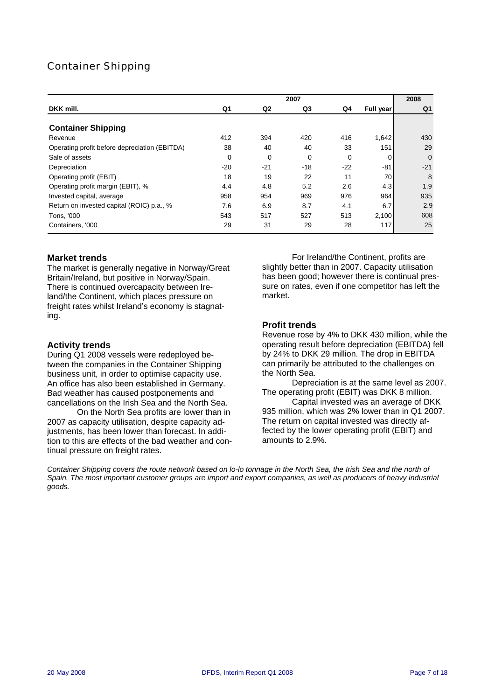### Container Shipping

|                                                          |             |                | 2007        |           |                  | 2008      |
|----------------------------------------------------------|-------------|----------------|-------------|-----------|------------------|-----------|
| DKK mill.                                                | Q1          | Q <sub>2</sub> | Q3          | Q4        | <b>Full year</b> | Q1        |
| <b>Container Shipping</b>                                |             |                |             |           |                  |           |
| Revenue<br>Operating profit before depreciation (EBITDA) | 412<br>38   | 394<br>40      | 420<br>40   | 416<br>33 | 1,642<br>151     | 430<br>29 |
| Sale of assets                                           | $\mathbf 0$ | $\Omega$       | $\mathbf 0$ | 0         | 0                | $\Omega$  |
| Depreciation                                             | $-20$       | $-21$          | $-18$       | $-22$     | $-81$            | $-21$     |
| Operating profit (EBIT)                                  | 18          | 19             | 22          | 11        | 70               | 8         |
| Operating profit margin (EBIT), %                        | 4.4         | 4.8            | 5.2         | 2.6       | 4.3              | 1.9       |
| Invested capital, average                                | 958         | 954            | 969         | 976       | 964              | 935       |
| Return on invested capital (ROIC) p.a., %                | 7.6         | 6.9            | 8.7         | 4.1       | 6.7              | 2.9       |
| Tons, '000                                               | 543         | 517            | 527         | 513       | 2,100            | 608       |
| Containers, '000                                         | 29          | 31             | 29          | 28        | 117              | 25        |

#### **Market trends**

The market is generally negative in Norway/Great Britain/Ireland, but positive in Norway/Spain. There is continued overcapacity between Ireland/the Continent, which places pressure on freight rates whilst Ireland's economy is stagnating.

#### **Activity trends**

During Q1 2008 vessels were redeployed between the companies in the Container Shipping business unit, in order to optimise capacity use. An office has also been established in Germany. Bad weather has caused postponements and cancellations on the Irish Sea and the North Sea.

On the North Sea profits are lower than in 2007 as capacity utilisation, despite capacity adjustments, has been lower than forecast. In addition to this are effects of the bad weather and continual pressure on freight rates.

For Ireland/the Continent, profits are slightly better than in 2007. Capacity utilisation has been good; however there is continual pressure on rates, even if one competitor has left the market.

#### **Profit trends**

Revenue rose by 4% to DKK 430 million, while the operating result before depreciation (EBITDA) fell by 24% to DKK 29 million. The drop in EBITDA can primarily be attributed to the challenges on the North Sea.

Depreciation is at the same level as 2007. The operating profit (EBIT) was DKK 8 million.

Capital invested was an average of DKK 935 million, which was 2% lower than in Q1 2007. The return on capital invested was directly affected by the lower operating profit (EBIT) and amounts to 2.9%.

*Container Shipping covers the route network based on lo-lo tonnage in the North Sea, the Irish Sea and the north of Spain. The most important customer groups are import and export companies, as well as producers of heavy industrial goods.*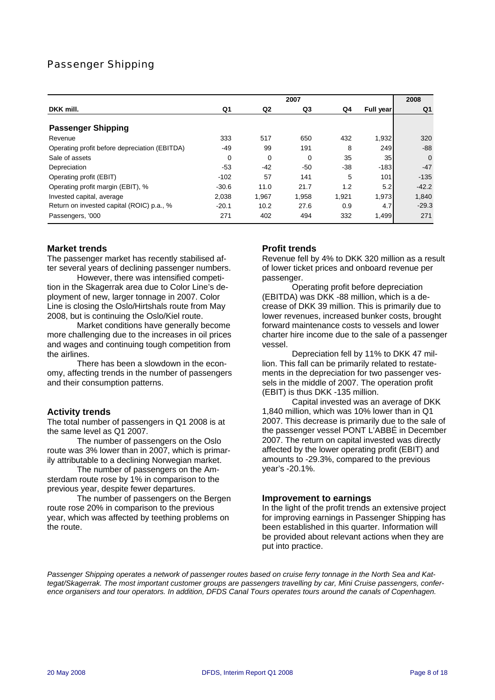### Passenger Shipping

|                                               |         |                | 2007  |       |           | 2008           |
|-----------------------------------------------|---------|----------------|-------|-------|-----------|----------------|
| DKK mill.                                     | Q1      | Q <sub>2</sub> | Q3    | Q4    | Full year | Q <sub>1</sub> |
| <b>Passenger Shipping</b>                     |         |                |       |       |           |                |
| Revenue                                       | 333     | 517            | 650   | 432   | 1,932     | 320            |
| Operating profit before depreciation (EBITDA) | $-49$   | 99             | 191   | 8     | 249       | $-88$          |
| Sale of assets                                | 0       | $\mathbf 0$    | 0     | 35    | 35        | $\Omega$       |
| Depreciation                                  | $-53$   | $-42$          | $-50$ | $-38$ | $-183$    | $-47$          |
| Operating profit (EBIT)                       | $-102$  | 57             | 141   | 5     | 101       | $-135$         |
| Operating profit margin (EBIT), %             | $-30.6$ | 11.0           | 21.7  | 1.2   | 5.2       | $-42.2$        |
| Invested capital, average                     | 2,038   | 1,967          | 1,958 | 1,921 | 1,973     | 1,840          |
| Return on invested capital (ROIC) p.a., %     | $-20.1$ | 10.2           | 27.6  | 0.9   | 4.7       | $-29.3$        |
| Passengers, '000                              | 271     | 402            | 494   | 332   | 1,499     | 271            |

#### **Market trends**

The passenger market has recently stabilised after several years of declining passenger numbers.

However, there was intensified competition in the Skagerrak area due to Color Line's deployment of new, larger tonnage in 2007. Color Line is closing the Oslo/Hirtshals route from May 2008, but is continuing the Oslo/Kiel route.

Market conditions have generally become more challenging due to the increases in oil prices and wages and continuing tough competition from the airlines.

There has been a slowdown in the economy, affecting trends in the number of passengers and their consumption patterns.

#### **Activity trends**

The total number of passengers in Q1 2008 is at the same level as Q1 2007.

The number of passengers on the Oslo route was 3% lower than in 2007, which is primarily attributable to a declining Norwegian market.

The number of passengers on the Amsterdam route rose by 1% in comparison to the previous year, despite fewer departures.

The number of passengers on the Bergen route rose 20% in comparison to the previous year, which was affected by teething problems on the route.

#### **Profit trends**

Revenue fell by 4% to DKK 320 million as a result of lower ticket prices and onboard revenue per passenger.

Operating profit before depreciation (EBITDA) was DKK -88 million, which is a decrease of DKK 39 million. This is primarily due to lower revenues, increased bunker costs, brought forward maintenance costs to vessels and lower charter hire income due to the sale of a passenger vessel.

Depreciation fell by 11% to DKK 47 million. This fall can be primarily related to restatements in the depreciation for two passenger vessels in the middle of 2007. The operation profit (EBIT) is thus DKK -135 million.

Capital invested was an average of DKK 1,840 million, which was 10% lower than in Q1 2007. This decrease is primarily due to the sale of the passenger vessel PONT L'ABBÉ in December 2007. The return on capital invested was directly affected by the lower operating profit (EBIT) and amounts to -29.3%, compared to the previous year's -20.1%.

#### **Improvement to earnings**

In the light of the profit trends an extensive project for improving earnings in Passenger Shipping has been established in this quarter. Information will be provided about relevant actions when they are put into practice.

*Passenger Shipping operates a network of passenger routes based on cruise ferry tonnage in the North Sea and Kattegat/Skagerrak. The most important customer groups are passengers travelling by car, Mini Cruise passengers, conference organisers and tour operators. In addition, DFDS Canal Tours operates tours around the canals of Copenhagen.*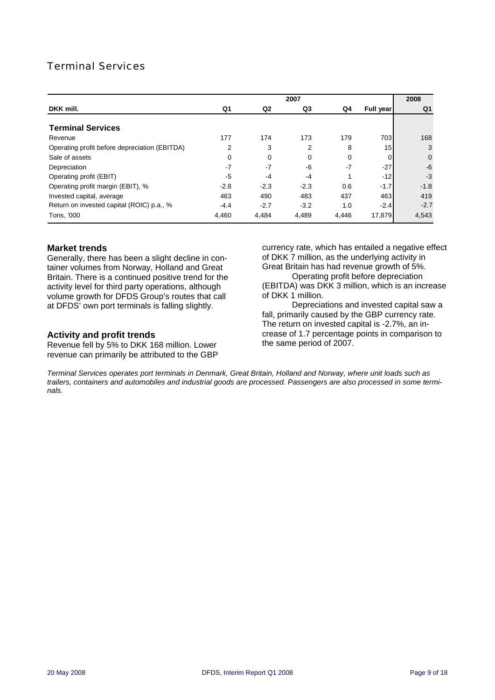### Terminal Services

|                                               |        |                | 2007   |       |                  | 2008           |
|-----------------------------------------------|--------|----------------|--------|-------|------------------|----------------|
| DKK mill.                                     | Q1     | Q <sub>2</sub> | Q3     | Q4    | <b>Full year</b> | Q1             |
| <b>Terminal Services</b>                      |        |                |        |       |                  |                |
| Revenue                                       | 177    | 174            | 173    | 179   | 703              | 168            |
| Operating profit before depreciation (EBITDA) | 2      | 3              | 2      | 8     | 15 <sub>l</sub>  | 3              |
| Sale of assets                                | 0      | $\Omega$       | 0      | 0     | 0                | $\overline{0}$ |
| Depreciation                                  | $-7$   | $-7$           | -6     | $-7$  | $-27$            | $-6$           |
| Operating profit (EBIT)                       | -5     | $-4$           | $-4$   |       | $-12$            | $-3$           |
| Operating profit margin (EBIT), %             | $-2.8$ | $-2.3$         | $-2.3$ | 0.6   | $-1.7$           | $-1.8$         |
| Invested capital, average                     | 463    | 490            | 483    | 437   | 463              | 419            |
| Return on invested capital (ROIC) p.a., %     | $-4.4$ | $-2.7$         | $-3.2$ | 1.0   | $-2.4$           | $-2.7$         |
| Tons, '000                                    | 4,460  | 4.484          | 4,489  | 4.446 | 17,879           | 4,543          |

#### **Market trends**

Generally, there has been a slight decline in container volumes from Norway, Holland and Great Britain. There is a continued positive trend for the activity level for third party operations, although volume growth for DFDS Group's routes that call at DFDS' own port terminals is falling slightly.

#### **Activity and profit trends**

Revenue fell by 5% to DKK 168 million. Lower revenue can primarily be attributed to the GBP currency rate, which has entailed a negative effect of DKK 7 million, as the underlying activity in Great Britain has had revenue growth of 5%.

Operating profit before depreciation (EBITDA) was DKK 3 million, which is an increase of DKK 1 million.

Depreciations and invested capital saw a fall, primarily caused by the GBP currency rate. The return on invested capital is -2.7%, an increase of 1.7 percentage points in comparison to the same period of 2007.

*Terminal Services operates port terminals in Denmark, Great Britain, Holland and Norway, where unit loads such as trailers, containers and automobiles and industrial goods are processed. Passengers are also processed in some terminals.*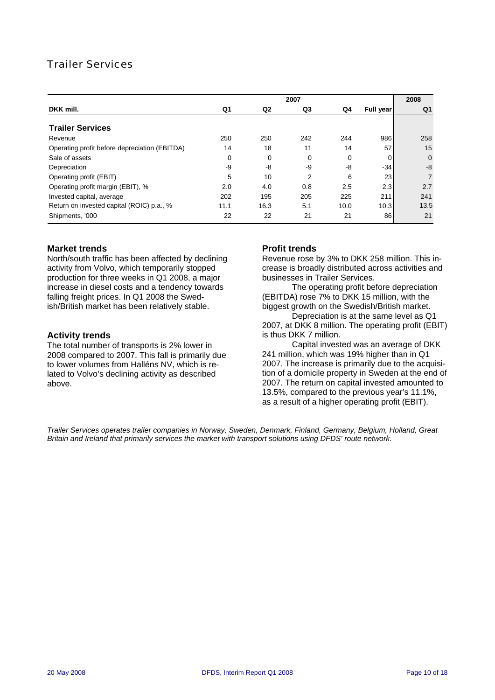### Trailer Services

|                                               |      |                | 2007 |      |           | 2008           |
|-----------------------------------------------|------|----------------|------|------|-----------|----------------|
| DKK mill.                                     | Q1   | Q <sub>2</sub> | Q3   | Q4   | Full year | Q1             |
| <b>Trailer Services</b>                       |      |                |      |      |           |                |
| Revenue                                       | 250  | 250            | 242  | 244  | 986       | 258            |
| Operating profit before depreciation (EBITDA) | 14   | 18             | 11   | 14   | 57        | 15             |
| Sale of assets                                | 0    | 0              | 0    | 0    | 0         | $\overline{0}$ |
| Depreciation                                  | -9   | -8             | -9   | -8   | $-34$     | $-8$           |
| Operating profit (EBIT)                       | 5    | 10             | 2    | 6    | 23        | $\overline{7}$ |
| Operating profit margin (EBIT), %             | 2.0  | 4.0            | 0.8  | 2.5  | 2.3       | 2.7            |
| Invested capital, average                     | 202  | 195            | 205  | 225  | 211       | 241            |
| Return on invested capital (ROIC) p.a., %     | 11.1 | 16.3           | 5.1  | 10.0 | 10.3      | 13.5           |
| Shipments, '000                               | 22   | 22             | 21   | 21   | 86        | 21             |

#### **Market trends**

North/south traffic has been affected by declining activity from Volvo, which temporarily stopped production for three weeks in Q1 2008, a major increase in diesel costs and a tendency towards falling freight prices. In Q1 2008 the Swedish/British market has been relatively stable.

#### **Activity trends**

The total number of transports is 2% lower in 2008 compared to 2007. This fall is primarily due to lower volumes from Halléns NV, which is related to Volvo's declining activity as described above.

#### **Profit trends**

Revenue rose by 3% to DKK 258 million. This increase is broadly distributed across activities and businesses in Trailer Services.

The operating profit before depreciation (EBITDA) rose 7% to DKK 15 million, with the biggest growth on the Swedish/British market.

Depreciation is at the same level as Q1 2007, at DKK 8 million. The operating profit (EBIT) is thus DKK 7 million.

Capital invested was an average of DKK 241 million, which was 19% higher than in Q1 2007. The increase is primarily due to the acquisition of a domicile property in Sweden at the end of 2007. The return on capital invested amounted to 13.5%, compared to the previous year's 11.1%, as a result of a higher operating profit (EBIT).

*Trailer Services operates trailer companies in Norway, Sweden, Denmark, Finland, Germany, Belgium, Holland, Great Britain and Ireland that primarily services the market with transport solutions using DFDS' route network.*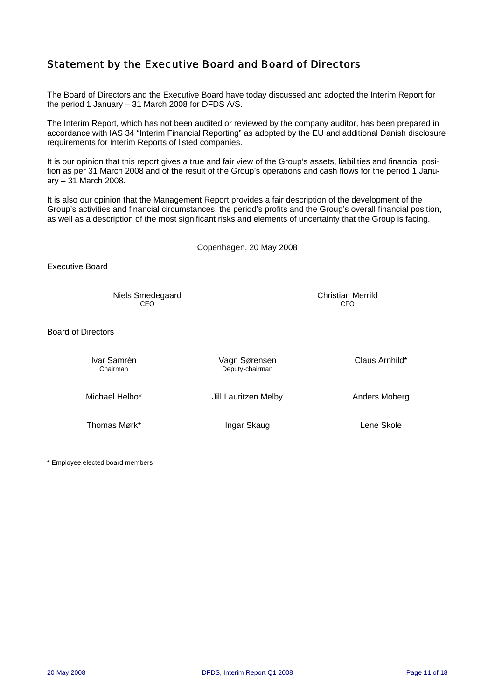### Statement by the Executive Board and Board of Directors

The Board of Directors and the Executive Board have today discussed and adopted the Interim Report for the period 1 January – 31 March 2008 for DFDS A/S.

The Interim Report, which has not been audited or reviewed by the company auditor, has been prepared in accordance with IAS 34 "Interim Financial Reporting" as adopted by the EU and additional Danish disclosure requirements for Interim Reports of listed companies.

It is our opinion that this report gives a true and fair view of the Group's assets, liabilities and financial position as per 31 March 2008 and of the result of the Group's operations and cash flows for the period 1 January – 31 March 2008.

It is also our opinion that the Management Report provides a fair description of the development of the Group's activities and financial circumstances, the period's profits and the Group's overall financial position, as well as a description of the most significant risks and elements of uncertainty that the Group is facing.

Copenhagen, 20 May 2008

Executive Board

Niels Smedegaard Christian Merrild **CEO CEO CEO CEO CEO** 

Board of Directors

Ivar Samrén Vagn Sørensen Claus Arnhild\* Deputy-chairman Michael Helbo<sup>\*</sup> Jill Lauritzen Melby **Anders Moberg** Anders Moberg

Thomas Mørk\* **Ingar Skaug Lene Skole** Lene Skole

\* Employee elected board members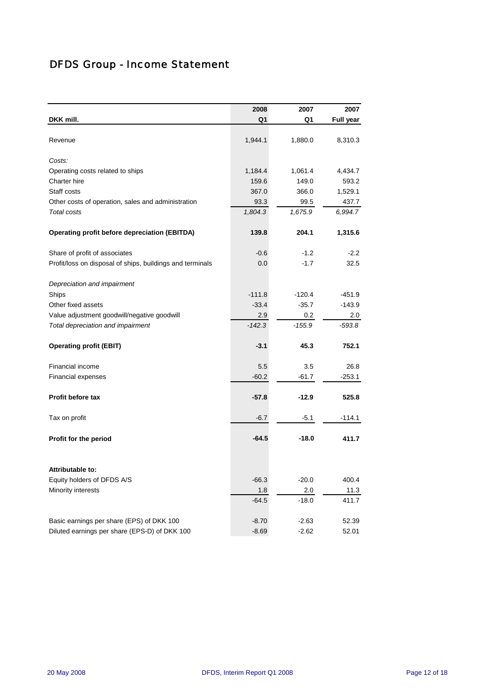# DFDS Group - Income Statement

|                                                           | 2008           | 2007           | 2007             |
|-----------------------------------------------------------|----------------|----------------|------------------|
| DKK mill.                                                 | Q1             | Q1             | <b>Full year</b> |
|                                                           |                |                |                  |
| Revenue                                                   | 1,944.1        | 1,880.0        | 8,310.3          |
| Costs:                                                    |                |                |                  |
| Operating costs related to ships                          | 1,184.4        | 1,061.4        | 4,434.7          |
| Charter hire                                              | 159.6          | 149.0          | 593.2            |
| Staff costs                                               | 367.0          | 366.0          | 1,529.1          |
| Other costs of operation, sales and administration        | 93.3           | 99.5           | 437.7            |
| <b>Total costs</b>                                        | 1,804.3        | 1,675.9        | 6,994.7          |
| <b>Operating profit before depreciation (EBITDA)</b>      | 139.8          | 204.1          | 1,315.6          |
| Share of profit of associates                             | $-0.6$         | $-1.2$         | $-2.2$           |
| Profit/loss on disposal of ships, buildings and terminals | 0.0            | $-1.7$         | 32.5             |
| Depreciation and impairment                               |                |                |                  |
| Ships                                                     | $-111.8$       | $-120.4$       | $-451.9$         |
| Other fixed assets                                        | $-33.4$        | $-35.7$        | $-143.9$         |
| Value adjustment goodwill/negative goodwill               | 2.9            | 0.2            | 2.0              |
| Total depreciation and impairment                         | $-142.3$       | $-155.9$       | $-593.8$         |
| <b>Operating profit (EBIT)</b>                            | $-3.1$         | 45.3           | 752.1            |
| Financial income                                          | 5.5            | 3.5            | 26.8             |
| <b>Financial expenses</b>                                 | $-60.2$        | $-61.7$        | $-253.1$         |
| Profit before tax                                         | $-57.8$        | $-12.9$        | 525.8            |
| Tax on profit                                             | $-6.7$         | $-5.1$         | $-114.1$         |
| Profit for the period                                     | $-64.5$        | $-18.0$        | 411.7            |
|                                                           |                |                |                  |
| <b>Attributable to:</b>                                   |                |                |                  |
| Equity holders of DFDS A/S                                | $-66.3$        | $-20.0$        | 400.4            |
| Minority interests                                        | 1.8<br>$-64.5$ | 2.0<br>$-18.0$ | 11.3<br>411.7    |
|                                                           |                |                |                  |
| Basic earnings per share (EPS) of DKK 100                 | $-8.70$        | $-2.63$        | 52.39            |
| Diluted earnings per share (EPS-D) of DKK 100             | $-8.69$        | $-2.62$        | 52.01            |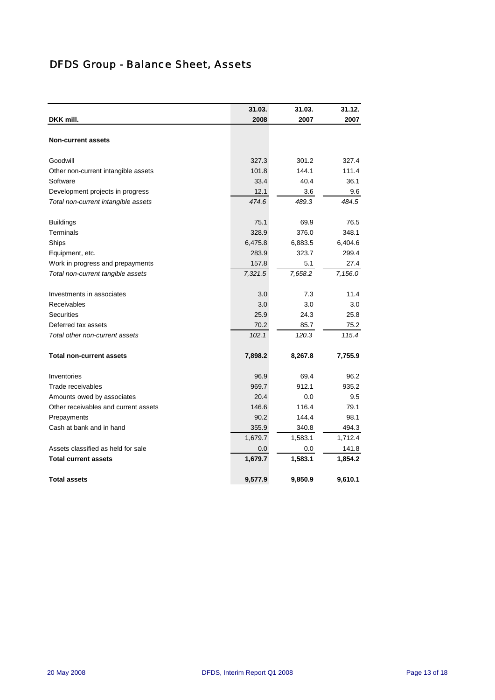# DFDS Group - Balance Sheet, Assets

|                                      | 31.03.  | 31.03.  | 31.12.  |
|--------------------------------------|---------|---------|---------|
| DKK mill.                            | 2008    | 2007    | 2007    |
|                                      |         |         |         |
| <b>Non-current assets</b>            |         |         |         |
| Goodwill                             | 327.3   | 301.2   | 327.4   |
| Other non-current intangible assets  | 101.8   | 144.1   | 111.4   |
| Software                             | 33.4    | 40.4    | 36.1    |
| Development projects in progress     | 12.1    | 3.6     | 9.6     |
| Total non-current intangible assets  | 474.6   | 489.3   | 484.5   |
| <b>Buildings</b>                     | 75.1    | 69.9    | 76.5    |
| Terminals                            | 328.9   | 376.0   | 348.1   |
| Ships                                | 6,475.8 | 6,883.5 | 6,404.6 |
| Equipment, etc.                      | 283.9   | 323.7   | 299.4   |
| Work in progress and prepayments     | 157.8   | 5.1     | 27.4    |
| Total non-current tangible assets    | 7,321.5 | 7,658.2 | 7,156.0 |
| Investments in associates            | 3.0     | 7.3     | 11.4    |
| Receivables                          | 3.0     | 3.0     | 3.0     |
| <b>Securities</b>                    | 25.9    | 24.3    | 25.8    |
| Deferred tax assets                  | 70.2    | 85.7    | 75.2    |
| Total other non-current assets       | 102.1   | 120.3   | 115.4   |
| <b>Total non-current assets</b>      | 7,898.2 | 8,267.8 | 7,755.9 |
| Inventories                          | 96.9    | 69.4    | 96.2    |
| Trade receivables                    | 969.7   | 912.1   | 935.2   |
| Amounts owed by associates           | 20.4    | 0.0     | 9.5     |
| Other receivables and current assets | 146.6   | 116.4   | 79.1    |
| Prepayments                          | 90.2    | 144.4   | 98.1    |
| Cash at bank and in hand             | 355.9   | 340.8   | 494.3   |
|                                      | 1,679.7 | 1,583.1 | 1,712.4 |
| Assets classified as held for sale   | 0.0     | 0.0     | 141.8   |
| <b>Total current assets</b>          | 1,679.7 | 1,583.1 | 1,854.2 |
| <b>Total assets</b>                  | 9,577.9 | 9,850.9 | 9,610.1 |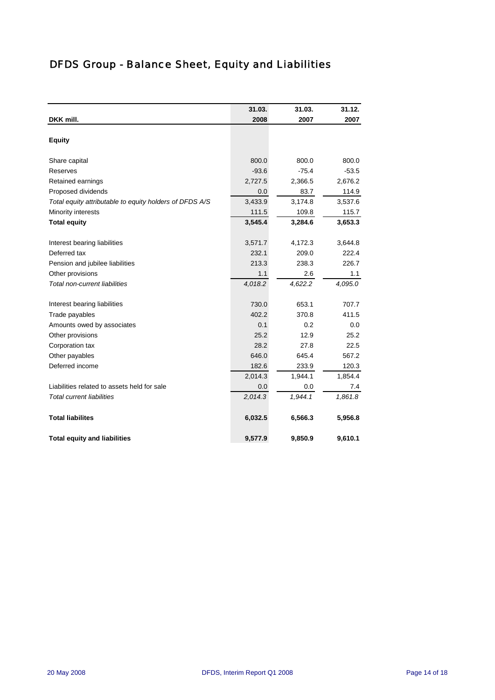# DFDS Group - Balance Sheet, Equity and Liabilities

|                                                         | 31.03.  | 31.03.  | 31.12.  |
|---------------------------------------------------------|---------|---------|---------|
| DKK mill.                                               | 2008    | 2007    | 2007    |
|                                                         |         |         |         |
| <b>Equity</b>                                           |         |         |         |
| Share capital                                           | 800.0   | 800.0   | 800.0   |
| <b>Reserves</b>                                         | $-93.6$ | $-75.4$ | $-53.5$ |
| Retained earnings                                       | 2,727.5 | 2,366.5 | 2,676.2 |
| Proposed dividends                                      | 0.0     | 83.7    | 114.9   |
| Total equity attributable to equity holders of DFDS A/S | 3,433.9 | 3,174.8 | 3,537.6 |
| Minority interests                                      | 111.5   | 109.8   | 115.7   |
| <b>Total equity</b>                                     | 3,545.4 | 3,284.6 | 3,653.3 |
| Interest bearing liabilities                            | 3,571.7 | 4,172.3 | 3,644.8 |
| Deferred tax                                            | 232.1   | 209.0   | 222.4   |
| Pension and jubilee liabilities                         | 213.3   | 238.3   | 226.7   |
| Other provisions                                        | 1.1     | 2.6     | 1.1     |
| Total non-current liabilities                           | 4,018.2 | 4,622.2 | 4,095.0 |
|                                                         |         |         |         |
| Interest bearing liabilities                            | 730.0   | 653.1   | 707.7   |
| Trade payables                                          | 402.2   | 370.8   | 411.5   |
| Amounts owed by associates                              | 0.1     | 0.2     | 0.0     |
| Other provisions                                        | 25.2    | 12.9    | 25.2    |
| Corporation tax                                         | 28.2    | 27.8    | 22.5    |
| Other payables                                          | 646.0   | 645.4   | 567.2   |
| Deferred income                                         | 182.6   | 233.9   | 120.3   |
|                                                         | 2,014.3 | 1,944.1 | 1,854.4 |
| Liabilities related to assets held for sale             | 0.0     | 0.0     | 7.4     |
| <b>Total current liabilities</b>                        | 2.014.3 | 1,944.1 | 1,861.8 |
| <b>Total liabilites</b>                                 | 6,032.5 | 6,566.3 | 5,956.8 |
| <b>Total equity and liabilities</b>                     | 9,577.9 | 9,850.9 | 9,610.1 |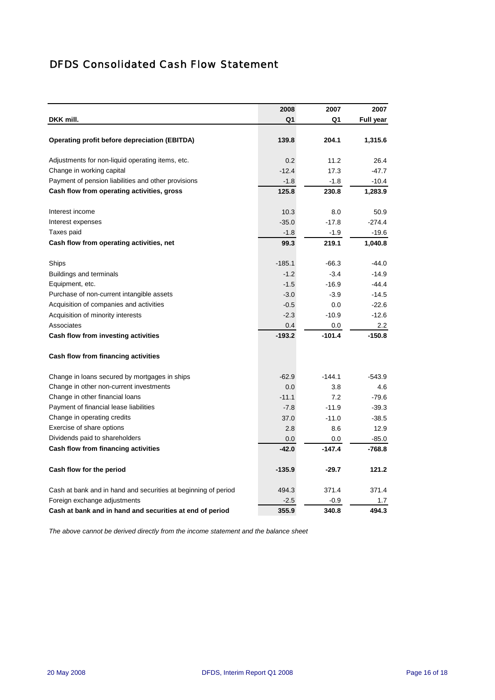## DFDS Consolidated Cash Flow Statement

|                                                                | 2008     | 2007     | 2007             |
|----------------------------------------------------------------|----------|----------|------------------|
| DKK mill.                                                      | Q1       | Q1       | <b>Full year</b> |
|                                                                |          |          |                  |
| Operating profit before depreciation (EBITDA)                  | 139.8    | 204.1    | 1,315.6          |
| Adjustments for non-liquid operating items, etc.               | 0.2      | 11.2     | 26.4             |
| Change in working capital                                      | $-12.4$  | 17.3     | $-47.7$          |
| Payment of pension liabilities and other provisions            | $-1.8$   | $-1.8$   | $-10.4$          |
| Cash flow from operating activities, gross                     | 125.8    | 230.8    | 1,283.9          |
| Interest income                                                | 10.3     | 8.0      | 50.9             |
| Interest expenses                                              | $-35.0$  | $-17.8$  | $-274.4$         |
| Taxes paid                                                     | $-1.8$   | -1.9     | $-19.6$          |
| Cash flow from operating activities, net                       | 99.3     | 219.1    | 1,040.8          |
| Ships                                                          | $-185.1$ | $-66.3$  | $-44.0$          |
| Buildings and terminals                                        | $-1.2$   | $-3.4$   | $-14.9$          |
| Equipment, etc.                                                | $-1.5$   | $-16.9$  | $-44.4$          |
| Purchase of non-current intangible assets                      | $-3.0$   | $-3.9$   | $-14.5$          |
| Acquisition of companies and activities                        | $-0.5$   | 0.0      | $-22.6$          |
| Acquisition of minority interests                              | $-2.3$   | $-10.9$  | $-12.6$          |
| Associates                                                     | 0.4      | 0.0      | 2.2              |
| Cash flow from investing activities                            | $-193.2$ | $-101.4$ | $-150.8$         |
| Cash flow from financing activities                            |          |          |                  |
| Change in loans secured by mortgages in ships                  | $-62.9$  | $-144.1$ | $-543.9$         |
| Change in other non-current investments                        | 0.0      | 3.8      | 4.6              |
| Change in other financial loans                                | $-11.1$  | 7.2      | $-79.6$          |
| Payment of financial lease liabilities                         | $-7.8$   | $-11.9$  | $-39.3$          |
| Change in operating credits                                    | 37.0     | $-11.0$  | $-38.5$          |
| Exercise of share options                                      | 2.8      | 8.6      | 12.9             |
| Dividends paid to shareholders                                 | 0.0      | 0.0      | $-85.0$          |
| Cash flow from financing activities                            | $-42.0$  | $-147.4$ | $-768.8$         |
| Cash flow for the period                                       | $-135.9$ | $-29.7$  | 121.2            |
| Cash at bank and in hand and securities at beginning of period | 494.3    | 371.4    | 371.4            |
| Foreign exchange adjustments                                   | $-2.5$   | $-0.9$   | 1.7              |
| Cash at bank and in hand and securities at end of period       | 355.9    | 340.8    | 494.3            |

*The above cannot be derived directly from the income statement and the balance sheet*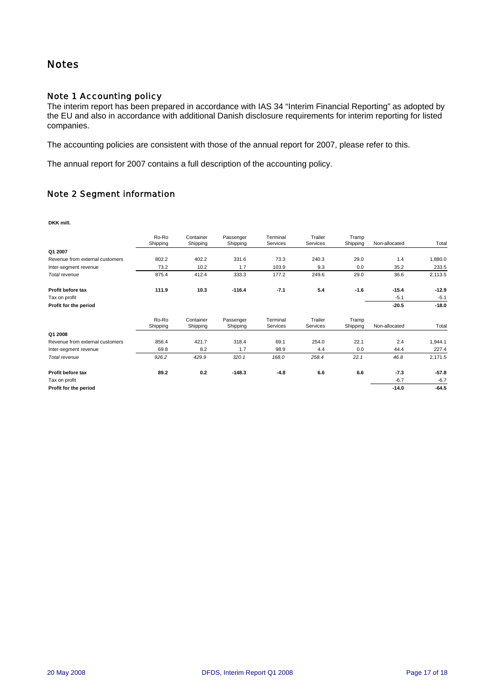### **Notes**

### Note 1 Accounting policy

The interim report has been prepared in accordance with IAS 34 "Interim Financial Reporting" as adopted by the EU and also in accordance with additional Danish disclosure requirements for interim reporting for listed companies.

The accounting policies are consistent with those of the annual report for 2007, please refer to this.

The annual report for 2007 contains a full description of the accounting policy.

#### Note 2 Segment information

**DKK mill.**

|                                 | Ro-Ro<br>Shipping | Container<br>Shipping | Passenger<br>Shipping | Terminal<br>Services | Trailer<br>Services | Tramp<br>Shipping | Non-allocated | Total   |
|---------------------------------|-------------------|-----------------------|-----------------------|----------------------|---------------------|-------------------|---------------|---------|
| Q1 2007                         |                   |                       |                       |                      |                     |                   |               |         |
| Revenue from external customers | 802.2             | 402.2                 | 331.6                 | 73.3                 | 240.3               | 29.0              | 1.4           | 1,880.0 |
| Inter-segment revenue           | 73.2              | 10.2                  | 1.7                   | 103.9                | 9.3                 | 0.0               | 35.2          | 233.5   |
| Total revenue                   | 875.4             | 412.4                 | 333.3                 | 177.2                | 249.6               | 29.0              | 36.6          | 2,113.5 |
| Profit before tax               | 111.9             | 10.3                  | $-116.4$              | $-7.1$               | 5.4                 | $-1.6$            | $-15.4$       | $-12.9$ |
| Tax on profit                   |                   |                       |                       |                      |                     |                   | $-5.1$        | $-5.1$  |
| Profit for the period           |                   |                       |                       |                      |                     |                   | $-20.5$       | $-18.0$ |
|                                 | Ro-Ro<br>Shipping | Container<br>Shipping | Passenger<br>Shipping | Terminal<br>Services | Trailer<br>Services | Tramp<br>Shipping | Non-allocated | Total   |
| Q1 2008                         |                   |                       |                       |                      |                     |                   |               |         |
| Revenue from external customers | 856.4             | 421.7                 | 318.4                 | 69.1                 | 254.0               | 22.1              | 2.4           | 1,944.1 |
| Inter-segment revenue           | 69.8              | 8.2                   | 1.7                   | 98.9                 | 4.4                 | 0.0               | 44.4          | 227.4   |
| Total revenue                   | 926.2             | 429.9                 | 320.1                 | 168.0                | 258.4               | 22.1              | 46.8          | 2,171.5 |
| Profit before tax               | 89.2              | 0.2                   | $-148.3$              | $-4.8$               | 6.6                 | 6.6               | $-7.3$        | $-57.8$ |
| Tax on profit                   |                   |                       |                       |                      |                     |                   | $-6.7$        | $-6.7$  |
| Profit for the period           |                   |                       |                       |                      |                     |                   | $-14.0$       | $-64.5$ |